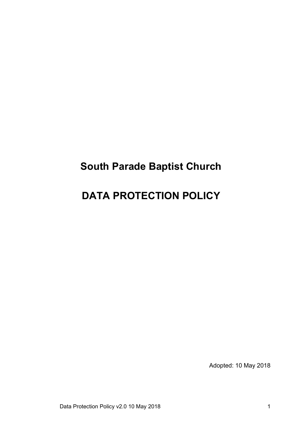# **South Parade Baptist Church**

# **DATA PROTECTION POLICY**

Adopted: 10 May 2018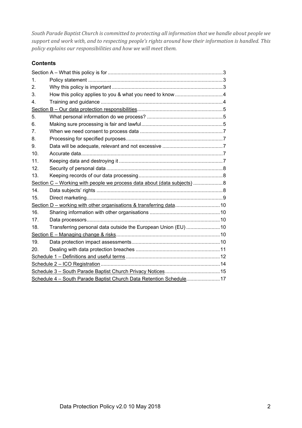*South Parade Baptist Church is committed to protecting all information that we handle about people we support and work with, and to respecting people's rights around how their information is handled. This policy explains our responsibilities and how we will meet them.*

## **Contents**

| $\mathbf{1}$ .                                                           |                                                                |  |  |
|--------------------------------------------------------------------------|----------------------------------------------------------------|--|--|
| 2.                                                                       |                                                                |  |  |
| 3.                                                                       |                                                                |  |  |
| 4.                                                                       |                                                                |  |  |
|                                                                          |                                                                |  |  |
| 5.                                                                       |                                                                |  |  |
| 6.                                                                       |                                                                |  |  |
| 7.                                                                       |                                                                |  |  |
| 8.                                                                       |                                                                |  |  |
| 9.                                                                       |                                                                |  |  |
| 10 <sub>1</sub>                                                          |                                                                |  |  |
| 11.                                                                      |                                                                |  |  |
| 12.                                                                      |                                                                |  |  |
| 13.                                                                      |                                                                |  |  |
| Section C - Working with people we process data about (data subjects)  8 |                                                                |  |  |
| 14.                                                                      |                                                                |  |  |
| 15.                                                                      |                                                                |  |  |
|                                                                          |                                                                |  |  |
| 16.                                                                      |                                                                |  |  |
| 17.                                                                      |                                                                |  |  |
| 18.                                                                      | Transferring personal data outside the European Union (EU)  10 |  |  |
|                                                                          |                                                                |  |  |
| 19.                                                                      |                                                                |  |  |
| 20.                                                                      |                                                                |  |  |
|                                                                          |                                                                |  |  |
|                                                                          |                                                                |  |  |
|                                                                          |                                                                |  |  |
| Schedule 4 - South Parade Baptist Church Data Retention Schedule 17      |                                                                |  |  |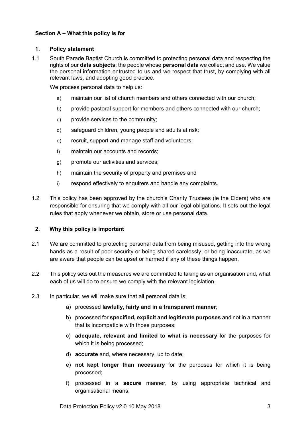## **Section A – What this policy is for**

#### **1. Policy statement**

1.1 South Parade Baptist Church is committed to protecting personal data and respecting the rights of our **data subjects**; the people whose **personal data** we collect and use. We value the personal information entrusted to us and we respect that trust, by complying with all relevant laws, and adopting good practice.

We process personal data to help us:

- a) maintain our list of church members and others connected with our church;
- b) provide pastoral support for members and others connected with our church;
- c) provide services to the community;
- d) safeguard children, young people and adults at risk;
- e) recruit, support and manage staff and volunteers;
- f) maintain our accounts and records;
- g) promote our activities and services;
- h) maintain the security of property and premises and
- i) respond effectively to enquirers and handle any complaints.
- 1.2 This policy has been approved by the church's Charity Trustees (ie the Elders) who are responsible for ensuring that we comply with all our legal obligations. It sets out the legal rules that apply whenever we obtain, store or use personal data.

## **2. Why this policy is important**

- 2.1 We are committed to protecting personal data from being misused, getting into the wrong hands as a result of poor security or being shared carelessly, or being inaccurate, as we are aware that people can be upset or harmed if any of these things happen.
- 2.2 This policy sets out the measures we are committed to taking as an organisation and, what each of us will do to ensure we comply with the relevant legislation.
- 2.3 In particular, we will make sure that all personal data is:
	- a) processed **lawfully, fairly and in a transparent manner**;
	- b) processed for **specified, explicit and legitimate purposes** and not in a manner that is incompatible with those purposes;
	- c) **adequate, relevant and limited to what is necessary** for the purposes for which it is being processed:
	- d) **accurate** and, where necessary, up to date;
	- e) **not kept longer than necessary** for the purposes for which it is being processed;
	- f) processed in a **secure** manner, by using appropriate technical and organisational means;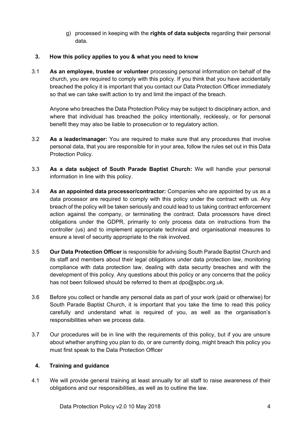g) processed in keeping with the **rights of data subjects** regarding their personal data.

## **3. How this policy applies to you & what you need to know**

3.1 **As an employee, trustee or volunteer** processing personal information on behalf of the church, you are required to comply with this policy. If you think that you have accidentally breached the policy it is important that you contact our Data Protection Officer immediately so that we can take swift action to try and limit the impact of the breach.

Anyone who breaches the Data Protection Policy may be subject to disciplinary action, and where that individual has breached the policy intentionally, recklessly, or for personal benefit they may also be liable to prosecution or to regulatory action.

- 3.2 **As a leader/manager:** You are required to make sure that any procedures that involve personal data, that you are responsible for in your area, follow the rules set out in this Data Protection Policy.
- 3.3 **As a data subject of South Parade Baptist Church:** We will handle your personal information in line with this policy.
- 3.4 **As an appointed data processor/contractor:** Companies who are appointed by us as a data processor are required to comply with this policy under the contract with us. Any breach of the policy will be taken seriously and could lead to us taking contract enforcement action against the company, or terminating the contract. Data processors have direct obligations under the GDPR, primarily to only process data on instructions from the controller (us) and to implement appropriate technical and organisational measures to ensure a level of security appropriate to the risk involved.
- 3.5 **Our Data Protection Officer** is responsible for advising South Parade Baptist Church and its staff and members about their legal obligations under data protection law, monitoring compliance with data protection law, dealing with data security breaches and with the development of this policy. Any questions about this policy or any concerns that the policy has not been followed should be referred to them at dpo@spbc.org.uk.
- 3.6 Before you collect or handle any personal data as part of your work (paid or otherwise) for South Parade Baptist Church, it is important that you take the time to read this policy carefully and understand what is required of you, as well as the organisation's responsibilities when we process data.
- 3.7 Our procedures will be in line with the requirements of this policy, but if you are unsure about whether anything you plan to do, or are currently doing, might breach this policy you must first speak to the Data Protection Officer

## **4. Training and guidance**

4.1 We will provide general training at least annually for all staff to raise awareness of their obligations and our responsibilities, as well as to outline the law.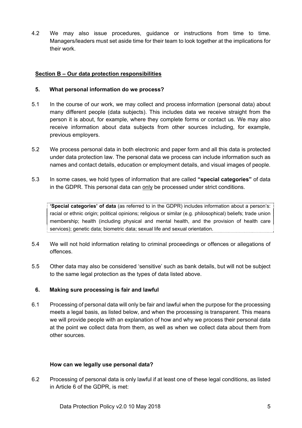4.2 We may also issue procedures, guidance or instructions from time to time. Managers/leaders must set aside time for their team to look together at the implications for their work.

## **Section B – Our data protection responsibilities**

#### **5. What personal information do we process?**

- 5.1 In the course of our work, we may collect and process information (personal data) about many different people (data subjects). This includes data we receive straight from the person it is about, for example, where they complete forms or contact us. We may also receive information about data subjects from other sources including, for example, previous employers.
- 5.2 We process personal data in both electronic and paper form and all this data is protected under data protection law. The personal data we process can include information such as names and contact details, education or employment details, and visual images of people.
- 5.3 In some cases, we hold types of information that are called **"special categories"** of data in the GDPR. This personal data can only be processed under strict conditions.

**'Special categories' of data** (as referred to in the GDPR) includes information about a person's: racial or ethnic origin; political opinions; religious or similar (e.g. philosophical) beliefs; trade union membership; health (including physical and mental health, and the provision of health care services); genetic data; biometric data; sexual life and sexual orientation.

- 5.4 We will not hold information relating to criminal proceedings or offences or allegations of offences.
- 5.5 Other data may also be considered 'sensitive' such as bank details, but will not be subject to the same legal protection as the types of data listed above.

## **6. Making sure processing is fair and lawful**

6.1 Processing of personal data will only be fair and lawful when the purpose for the processing meets a legal basis, as listed below, and when the processing is transparent. This means we will provide people with an explanation of how and why we process their personal data at the point we collect data from them, as well as when we collect data about them from other sources.

#### **How can we legally use personal data?**

6.2 Processing of personal data is only lawful if at least one of these legal conditions, as listed in Article 6 of the GDPR, is met: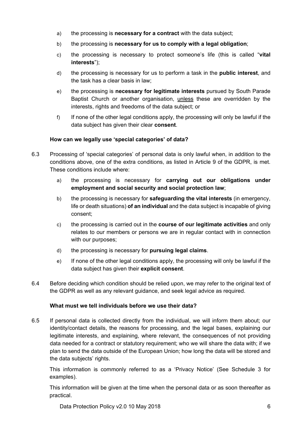- a) the processing is **necessary for a contract** with the data subject;
- b) the processing is **necessary for us to comply with a legal obligation**;
- c) the processing is necessary to protect someone's life (this is called "**vital interests**");
- d) the processing is necessary for us to perform a task in the **public interest**, and the task has a clear basis in law;
- e) the processing is **necessary for legitimate interests** pursued by South Parade Baptist Church or another organisation, unless these are overridden by the interests, rights and freedoms of the data subject; or
- f) If none of the other legal conditions apply, the processing will only be lawful if the data subject has given their clear **consent**.

## **How can we legally use 'special categories' of data?**

- 6.3 Processing of 'special categories' of personal data is only lawful when, in addition to the conditions above, one of the extra conditions, as listed in Article 9 of the GDPR, is met. These conditions include where:
	- a) the processing is necessary for **carrying out our obligations under employment and social security and social protection law**;
	- b) the processing is necessary for **safeguarding the vital interests** (in emergency, life or death situations) **of an individual** and the data subject is incapable of giving consent;
	- c) the processing is carried out in the **course of our legitimate activities** and only relates to our members or persons we are in regular contact with in connection with our purposes;
	- d) the processing is necessary for **pursuing legal claims**.
	- e) If none of the other legal conditions apply, the processing will only be lawful if the data subject has given their **explicit consent**.
- 6.4 Before deciding which condition should be relied upon, we may refer to the original text of the GDPR as well as any relevant guidance, and seek legal advice as required.

## **What must we tell individuals before we use their data?**

6.5 If personal data is collected directly from the individual, we will inform them about; our identity/contact details, the reasons for processing, and the legal bases, explaining our legitimate interests, and explaining, where relevant, the consequences of not providing data needed for a contract or statutory requirement; who we will share the data with; if we plan to send the data outside of the European Union; how long the data will be stored and the data subjects' rights.

This information is commonly referred to as a 'Privacy Notice' (See Schedule 3 for examples).

This information will be given at the time when the personal data or as soon thereafter as practical.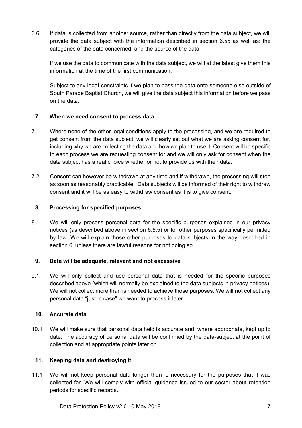6.6 If data is collected from another source, rather than directly from the data subject, we will provide the data subject with the information described in section 6.55 as well as: the categories of the data concerned; and the source of the data.

If we use the data to communicate with the data subject, we will at the latest give them this information at the time of the first communication.

Subject to any legal-constraints if we plan to pass the data onto someone else outside of South Parade Baptist Church, we will give the data subject this information before we pass on the data.

## **7. When we need consent to process data**

- 7.1 Where none of the other legal conditions apply to the processing, and we are required to get consent from the data subject, we will clearly set out what we are asking consent for, including why we are collecting the data and how we plan to use it. Consent will be specific to each process we are requesting consent for and we will only ask for consent when the data subject has a real choice whether or not to provide us with their data.
- 7.2 Consent can however be withdrawn at any time and if withdrawn, the processing will stop as soon as reasonably practicable. Data subjects will be informed of their right to withdraw consent and it will be as easy to withdraw consent as it is to give consent.

### **8. Processing for specified purposes**

8.1 We will only process personal data for the specific purposes explained in our privacy notices (as described above in section 6.5.5) or for other purposes specifically permitted by law. We will explain those other purposes to data subjects in the way described in section 6, unless there are lawful reasons for not doing so.

#### **9. Data will be adequate, relevant and not excessive**

9.1 We will only collect and use personal data that is needed for the specific purposes described above (which will normally be explained to the data subjects in privacy notices). We will not collect more than is needed to achieve those purposes. We will not collect any personal data "just in case" we want to process it later.

#### **10. Accurate data**

10.1 We will make sure that personal data held is accurate and, where appropriate, kept up to date. The accuracy of personal data will be confirmed by the data-subject at the point of collection and at appropriate points later on.

## **11. Keeping data and destroying it**

11.1 We will not keep personal data longer than is necessary for the purposes that it was collected for. We will comply with official guidance issued to our sector about retention periods for specific records.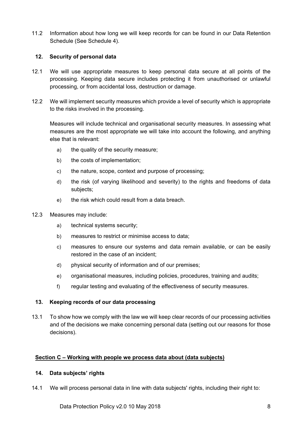11.2 Information about how long we will keep records for can be found in our Data Retention Schedule (See Schedule 4).

## **12. Security of personal data**

- 12.1 We will use appropriate measures to keep personal data secure at all points of the processing. Keeping data secure includes protecting it from unauthorised or unlawful processing, or from accidental loss, destruction or damage.
- 12.2 We will implement security measures which provide a level of security which is appropriate to the risks involved in the processing.

Measures will include technical and organisational security measures. In assessing what measures are the most appropriate we will take into account the following, and anything else that is relevant:

- a) the quality of the security measure;
- b) the costs of implementation;
- c) the nature, scope, context and purpose of processing;
- d) the risk (of varying likelihood and severity) to the rights and freedoms of data subjects;
- e) the risk which could result from a data breach.
- 12.3 Measures may include:
	- a) technical systems security;
	- b) measures to restrict or minimise access to data;
	- c) measures to ensure our systems and data remain available, or can be easily restored in the case of an incident;
	- d) physical security of information and of our premises;
	- e) organisational measures, including policies, procedures, training and audits;
	- f) regular testing and evaluating of the effectiveness of security measures.

## **13. Keeping records of our data processing**

13.1 To show how we comply with the law we will keep clear records of our processing activities and of the decisions we make concerning personal data (setting out our reasons for those decisions).

#### **Section C – Working with people we process data about (data subjects)**

#### **14. Data subjects' rights**

14.1 We will process personal data in line with data subjects' rights, including their right to: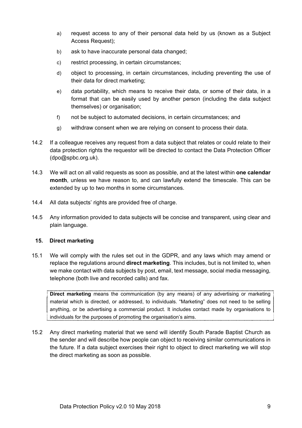- a) request access to any of their personal data held by us (known as a Subject Access Request);
- b) ask to have inaccurate personal data changed;
- c) restrict processing, in certain circumstances;
- d) object to processing, in certain circumstances, including preventing the use of their data for direct marketing;
- e) data portability, which means to receive their data, or some of their data, in a format that can be easily used by another person (including the data subject themselves) or organisation;
- f) not be subject to automated decisions, in certain circumstances; and
- g) withdraw consent when we are relying on consent to process their data.
- 14.2 If a colleague receives any request from a data subject that relates or could relate to their data protection rights the requestor will be directed to contact the Data Protection Officer (dpo@spbc.org.uk).
- 14.3 We will act on all valid requests as soon as possible, and at the latest within **one calendar month**, unless we have reason to, and can lawfully extend the timescale. This can be extended by up to two months in some circumstances.
- 14.4 All data subjects' rights are provided free of charge.
- 14.5 Any information provided to data subjects will be concise and transparent, using clear and plain language.

#### **15. Direct marketing**

15.1 We will comply with the rules set out in the GDPR, and any laws which may amend or replace the regulations around **direct marketing**. This includes, but is not limited to, when we make contact with data subjects by post, email, text message, social media messaging, telephone (both live and recorded calls) and fax.

**Direct marketing** means the communication (by any means) of any advertising or marketing material which is directed, or addressed, to individuals. "Marketing" does not need to be selling anything, or be advertising a commercial product. It includes contact made by organisations to individuals for the purposes of promoting the organisation's aims.

15.2 Any direct marketing material that we send will identify South Parade Baptist Church as the sender and will describe how people can object to receiving similar communications in the future. If a data subject exercises their right to object to direct marketing we will stop the direct marketing as soon as possible.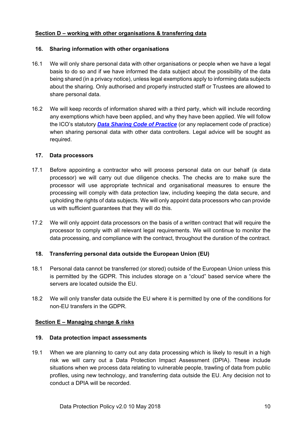## **Section D – working with other organisations & transferring data**

#### **16. Sharing information with other organisations**

- 16.1 We will only share personal data with other organisations or people when we have a legal basis to do so and if we have informed the data subject about the possibility of the data being shared (in a privacy notice), unless legal exemptions apply to informing data subjects about the sharing. Only authorised and properly instructed staff or Trustees are allowed to share personal data.
- 16.2 We will keep records of information shared with a third party, which will include recording any exemptions which have been applied, and why they have been applied. We will follow the ICO's statutory *Data Sharing Code of Practice* (or any replacement code of practice) when sharing personal data with other data controllers. Legal advice will be sought as required.

### **17. Data processors**

- 17.1 Before appointing a contractor who will process personal data on our behalf (a data processor) we will carry out due diligence checks. The checks are to make sure the processor will use appropriate technical and organisational measures to ensure the processing will comply with data protection law, including keeping the data secure, and upholding the rights of data subjects. We will only appoint data processors who can provide us with sufficient guarantees that they will do this.
- 17.2 We will only appoint data processors on the basis of a written contract that will require the processor to comply with all relevant legal requirements. We will continue to monitor the data processing, and compliance with the contract, throughout the duration of the contract.

## **18. Transferring personal data outside the European Union (EU)**

- 18.1 Personal data cannot be transferred (or stored) outside of the European Union unless this is permitted by the GDPR. This includes storage on a "cloud" based service where the servers are located outside the FU.
- 18.2 We will only transfer data outside the EU where it is permitted by one of the conditions for non-EU transfers in the GDPR.

#### **Section E – Managing change & risks**

#### **19. Data protection impact assessments**

19.1 When we are planning to carry out any data processing which is likely to result in a high risk we will carry out a Data Protection Impact Assessment (DPIA). These include situations when we process data relating to vulnerable people, trawling of data from public profiles, using new technology, and transferring data outside the EU. Any decision not to conduct a DPIA will be recorded.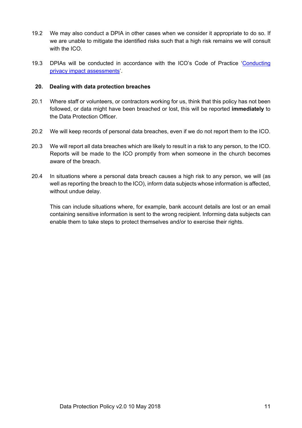- 19.2 We may also conduct a DPIA in other cases when we consider it appropriate to do so. If we are unable to mitigate the identified risks such that a high risk remains we will consult with the ICO.
- 19.3 DPIAs will be conducted in accordance with the ICO's Code of Practice 'Conducting privacy impact assessments'.

#### **20. Dealing with data protection breaches**

- 20.1 Where staff or volunteers, or contractors working for us, think that this policy has not been followed, or data might have been breached or lost, this will be reported **immediately** to the Data Protection Officer.
- 20.2 We will keep records of personal data breaches, even if we do not report them to the ICO.
- 20.3 We will report all data breaches which are likely to result in a risk to any person, to the ICO. Reports will be made to the ICO promptly from when someone in the church becomes aware of the breach.
- 20.4 In situations where a personal data breach causes a high risk to any person, we will (as well as reporting the breach to the ICO), inform data subjects whose information is affected, without undue delay.

This can include situations where, for example, bank account details are lost or an email containing sensitive information is sent to the wrong recipient. Informing data subjects can enable them to take steps to protect themselves and/or to exercise their rights.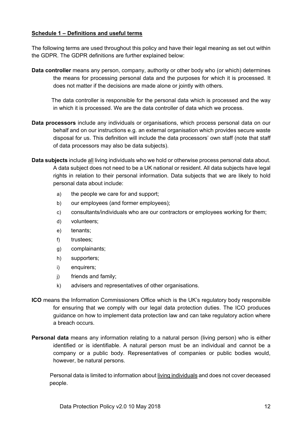### **Schedule 1 – Definitions and useful terms**

The following terms are used throughout this policy and have their legal meaning as set out within the GDPR. The GDPR definitions are further explained below:

**Data controller** means any person, company, authority or other body who (or which) determines the means for processing personal data and the purposes for which it is processed. It does not matter if the decisions are made alone or jointly with others.

 The data controller is responsible for the personal data which is processed and the way in which it is processed. We are the data controller of data which we process.

- **Data processors** include any individuals or organisations, which process personal data on our behalf and on our instructions e.g. an external organisation which provides secure waste disposal for us. This definition will include the data processors' own staff (note that staff of data processors may also be data subjects).
- **Data subjects** include all living individuals who we hold or otherwise process personal data about. A data subject does not need to be a UK national or resident. All data subjects have legal rights in relation to their personal information. Data subjects that we are likely to hold personal data about include:
	- a) the people we care for and support;
	- b) our employees (and former employees);
	- c) consultants/individuals who are our contractors or employees working for them;
	- d) volunteers;
	- e) tenants;
	- f) trustees;
	- g) complainants;
	- h) supporters;
	- i) enquirers;
	- j) friends and family;
	- k) advisers and representatives of other organisations.
- **ICO** means the Information Commissioners Office which is the UK's regulatory body responsible for ensuring that we comply with our legal data protection duties. The ICO produces guidance on how to implement data protection law and can take regulatory action where a breach occurs.
- **Personal data** means any information relating to a natural person (living person) who is either identified or is identifiable. A natural person must be an individual and cannot be a company or a public body. Representatives of companies or public bodies would, however, be natural persons.

Personal data is limited to information about living individuals and does not cover deceased people.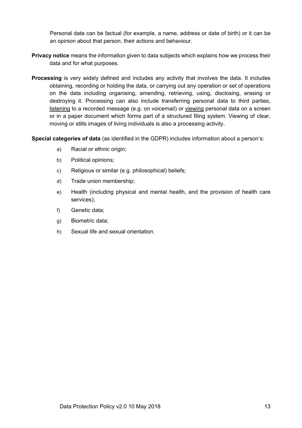Personal data can be factual (for example, a name, address or date of birth) or it can be an opinion about that person, their actions and behaviour.

- **Privacy notice** means the information given to data subjects which explains how we process their data and for what purposes.
- **Processing** is very widely defined and includes any activity that involves the data. It includes obtaining, recording or holding the data, or carrying out any operation or set of operations on the data including organising, amending, retrieving, using, disclosing, erasing or destroying it. Processing can also include transferring personal data to third parties, listening to a recorded message (e.g. on voicemail) or viewing personal data on a screen or in a paper document which forms part of a structured filing system. Viewing of clear, moving or stills images of living individuals is also a processing activity.

**Special categories of data** (as identified in the GDPR) includes information about a person's:

- a) Racial or ethnic origin;
- b) Political opinions;
- c) Religious or similar (e.g. philosophical) beliefs;
- d) Trade union membership;
- e) Health (including physical and mental health, and the provision of health care services);
- f) Genetic data;
- g) Biometric data;
- h) Sexual life and sexual orientation.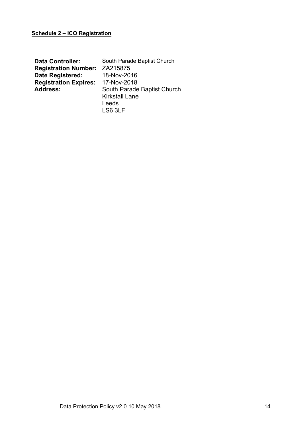## **Schedule 2 – ICO Registration**

| <b>Data Controller:</b>              | South Parade Baptist Church |
|--------------------------------------|-----------------------------|
| <b>Registration Number: ZA215875</b> |                             |
| <b>Date Registered:</b>              | 18-Nov-2016                 |
| <b>Registration Expires:</b>         | 17-Nov-2018                 |
| <b>Address:</b>                      | South Parade Baptist Church |
|                                      | <b>Kirkstall Lane</b>       |
|                                      | Leeds                       |
|                                      | LS6 3LF                     |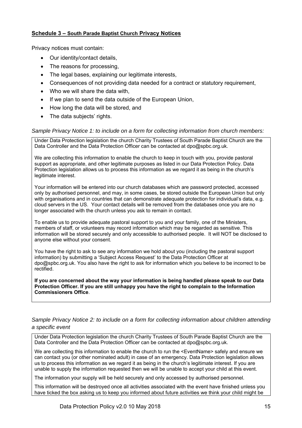### **Schedule 3 – South Parade Baptist Church Privacy Notices**

Privacy notices must contain:

- Our identity/contact details,
- The reasons for processing,
- The legal bases, explaining our legitimate interests,
- Consequences of not providing data needed for a contract or statutory requirement,
- Who we will share the data with,
- If we plan to send the data outside of the European Union,
- How long the data will be stored, and
- The data subjects' rights.

### *Sample Privacy Notice 1: to include on a form for collecting information from church members:*

Under Data Protection legislation the church Charity Trustees of South Parade Baptist Church are the Data Controller and the Data Protection Officer can be contacted at dpo@spbc.org.uk.

We are collecting this information to enable the church to keep in touch with you, provide pastoral support as appropriate, and other legitimate purposes as listed in our Data Protection Policy. Data Protection legislation allows us to process this information as we regard it as being in the church's legitimate interest.

Your information will be entered into our church databases which are password protected, accessed only by authorised personnel, and may, in some cases, be stored outside the European Union but only with organisations and in countries that can demonstrate adequate protection for individual's data, e.g. cloud servers in the US. Your contact details will be removed from the databases once you are no longer associated with the church unless you ask to remain in contact.

To enable us to provide adequate pastoral support to you and your family, one of the Ministers, members of staff, or volunteers may record information which may be regarded as sensitive. This information will be stored securely and only accessible to authorised people. It will NOT be disclosed to anyone else without your consent.

You have the right to ask to see any information we hold about you (including the pastoral support information) by submitting a 'Subject Access Request' to the Data Protection Officer at dpo@spbc.org.uk. You also have the right to ask for information which you believe to be incorrect to be rectified.

**If you are concerned about the way your information is being handled please speak to our Data Protection Officer. If you are still unhappy you have the right to complain to the Information Commissioners Office**.

#### *Sample Privacy Notice 2: to include on a form for collecting information about children attending a specific event*

Under Data Protection legislation the church Charity Trustees of South Parade Baptist Church are the Data Controller and the Data Protection Officer can be contacted at dpo@spbc.org.uk.

We are collecting this information to enable the church to run the <EventName> safely and ensure we can contact you (or other nominated adult) in case of an emergency. Data Protection legislation allows us to process this information as we regard it as being in the church's legitimate interest. If you are unable to supply the information requested then we will be unable to accept your child at this event.

The information your supply will be held securely and only accessed by authorised personnel.

This information will be destroyed once all activities associated with the event have finished unless you have ticked the box asking us to keep you informed about future activities we think your child might be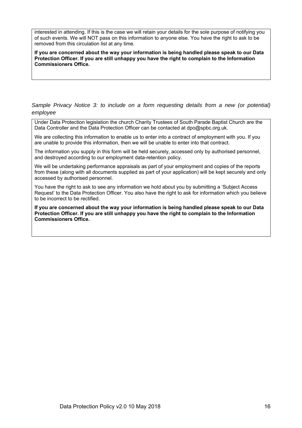interested in attending. If this is the case we will retain your details for the sole purpose of notifying you of such events. We will NOT pass on this information to anyone else. You have the right to ask to be removed from this circulation list at any time.

**If you are concerned about the way your information is being handled please speak to our Data Protection Officer. If you are still unhappy you have the right to complain to the Information Commissioners Office.**

Sample Privacy Notice 3: to include on a form requesting details from a new (or potential) *employee* 

Under Data Protection legislation the church Charity Trustees of South Parade Baptist Church are the Data Controller and the Data Protection Officer can be contacted at dpo@spbc.org.uk.

We are collecting this information to enable us to enter into a contract of employment with you. If you are unable to provide this information, then we will be unable to enter into that contract.

The information you supply in this form will be held securely, accessed only by authorised personnel, and destroyed according to our employment data-retention policy.

We will be undertaking performance appraisals as part of your employment and copies of the reports from these (along with all documents supplied as part of your application) will be kept securely and only accessed by authorised personnel.

You have the right to ask to see any information we hold about you by submitting a 'Subject Access Request' to the Data Protection Officer. You also have the right to ask for information which you believe to be incorrect to be rectified.

**If you are concerned about the way your information is being handled please speak to our Data Protection Officer. If you are still unhappy you have the right to complain to the Information Commissioners Office.**